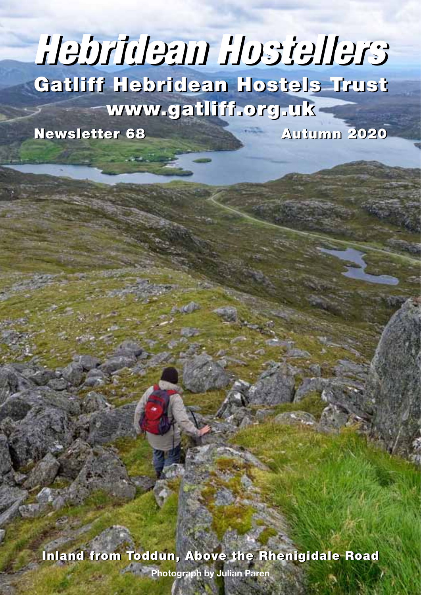# Gatliff Hebridean Hostels Trust Gatliff Hebridean Hostels Trust www.gatliff.org.uk www.gatliff.org.uk *Hebridean Hostellers Hebridean Hostellers*

Newsletter 68 Autumn 2020

Inland from Toddun, Above the Rhenigidale Road Inland from Toddun, Above the Rhenigidale Road

**Photograph by Julian Paren**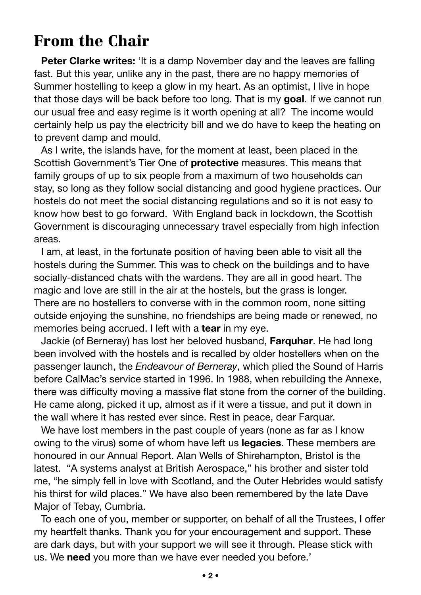# From the Chair

**Peter Clarke writes:** 'It is a damp November day and the leaves are falling fast. But this year, unlike any in the past, there are no happy memories of Summer hostelling to keep a glow in my heart. As an optimist, I live in hope that those days will be back before too long. That is my **goal**. If we cannot run our usual free and easy regime is it worth opening at all? The income would certainly help us pay the electricity bill and we do have to keep the heating on to prevent damp and mould.

As I write, the islands have, for the moment at least, been placed in the Scottish Government's Tier One of **protective** measures. This means that family groups of up to six people from a maximum of two households can stay, so long as they follow social distancing and good hygiene practices. Our hostels do not meet the social distancing regulations and so it is not easy to know how best to go forward. With England back in lockdown, the Scottish Government is discouraging unnecessary travel especially from high infection areas.

I am, at least, in the fortunate position of having been able to visit all the hostels during the Summer. This was to check on the buildings and to have socially-distanced chats with the wardens. They are all in good heart. The magic and love are still in the air at the hostels, but the grass is longer. There are no hostellers to converse with in the common room, none sitting outside enjoying the sunshine, no friendships are being made or renewed, no memories being accrued. I left with a **tear** in my eye.

Jackie (of Berneray) has lost her beloved husband, **Farquhar**. He had long been involved with the hostels and is recalled by older hostellers when on the passenger launch, the *Endeavour of Berneray*, which plied the Sound of Harris before CalMac's service started in 1996. In 1988, when rebuilding the Annexe, there was difficulty moving a massive flat stone from the corner of the building. He came along, picked it up, almost as if it were a tissue, and put it down in the wall where it has rested ever since. Rest in peace, dear Farquar.

We have lost members in the past couple of years (none as far as I know owing to the virus) some of whom have left us **legacies**. These members are honoured in our Annual Report. Alan Wells of Shirehampton, Bristol is the latest. "A systems analyst at British Aerospace," his brother and sister told me, "he simply fell in love with Scotland, and the Outer Hebrides would satisfy his thirst for wild places." We have also been remembered by the late Dave Major of Tebay, Cumbria.

To each one of you, member or supporter, on behalf of all the Trustees, I offer my heartfelt thanks. Thank you for your encouragement and support. These are dark days, but with your support we will see it through. Please stick with us. We **need** you more than we have ever needed you before.'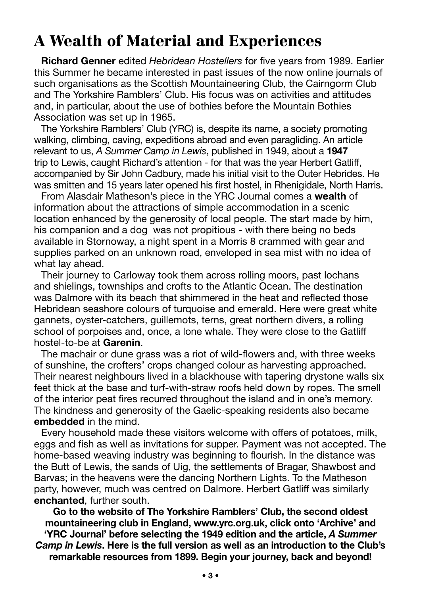# A Wealth of Material and Experiences

**Richard Genner** edited *Hebridean Hostellers* for five years from 1989. Earlier this Summer he became interested in past issues of the now online journals of such organisations as the Scottish Mountaineering Club, the Cairngorm Club and The Yorkshire Ramblers' Club. His focus was on activities and attitudes and, in particular, about the use of bothies before the Mountain Bothies Association was set up in 1965.

The Yorkshire Ramblers' Club (YRC) is, despite its name, a society promoting walking, climbing, caving, expeditions abroad and even paragliding. An article relevant to us, *A Summer Camp in Lewis*, published in 1949, about a **1947** trip to Lewis, caught Richard's attention - for that was the year Herbert Gatliff, accompanied by Sir John Cadbury, made his initial visit to the Outer Hebrides. He was smitten and 15 years later opened his first hostel, in Rhenigidale, North Harris.

From Alasdair Matheson's piece in the YRC Journal comes a **wealth** of information about the attractions of simple accommodation in a scenic location enhanced by the generosity of local people. The start made by him, his companion and a dog was not propitious - with there being no beds available in Stornoway, a night spent in a Morris 8 crammed with gear and supplies parked on an unknown road, enveloped in sea mist with no idea of what lay ahead.

Their journey to Carloway took them across rolling moors, past lochans and shielings, townships and crofts to the Atlantic Ocean. The destination was Dalmore with its beach that shimmered in the heat and reflected those Hebridean seashore colours of turquoise and emerald. Here were great white gannets, oyster-catchers, guillemots, terns, great northern divers, a rolling school of porpoises and, once, a lone whale. They were close to the Gatliff hostel-to-be at **Garenin**.

The machair or dune grass was a riot of wild-flowers and, with three weeks of sunshine, the crofters' crops changed colour as harvesting approached. Their nearest neighbours lived in a blackhouse with tapering drystone walls six feet thick at the base and turf-with-straw roofs held down by ropes. The smell of the interior peat fires recurred throughout the island and in one's memory. The kindness and generosity of the Gaelic-speaking residents also became **embedded** in the mind.

Every household made these visitors welcome with offers of potatoes, milk, eggs and fish as well as invitations for supper. Payment was not accepted. The home-based weaving industry was beginning to flourish. In the distance was the Butt of Lewis, the sands of Uig, the settlements of Bragar, Shawbost and Barvas; in the heavens were the dancing Northern Lights. To the Matheson party, however, much was centred on Dalmore. Herbert Gatliff was similarly **enchanted**, further south.

**Go to the website of The Yorkshire Ramblers' Club, the second oldest mountaineering club in England, www.yrc.org.uk, click onto 'Archive' and 'YRC Journal' before selecting the 1949 edition and the article,** *A Summer Camp in Lewis***. Here is the full version as well as an introduction to the Club's remarkable resources from 1899. Begin your journey, back and beyond!**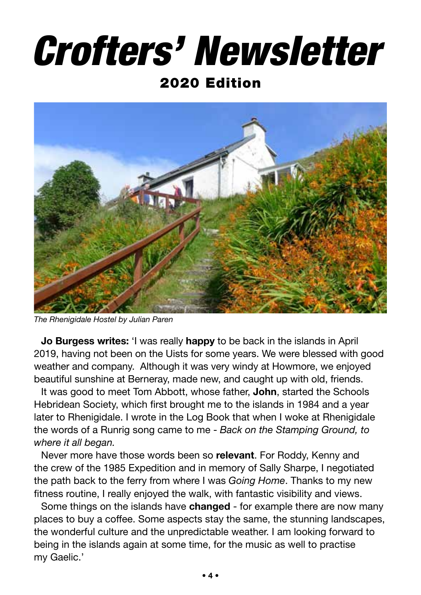# *Crofters' Newsletter*

#### 2020 Edition



*The Rhenigidale Hostel by Julian Paren*

**Jo Burgess writes:** 'I was really **happy** to be back in the islands in April 2019, having not been on the Uists for some years. We were blessed with good weather and company. Although it was very windy at Howmore, we enjoyed beautiful sunshine at Berneray, made new, and caught up with old, friends.

It was good to meet Tom Abbott, whose father, **John**, started the Schools Hebridean Society, which first brought me to the islands in 1984 and a year later to Rhenigidale. I wrote in the Log Book that when I woke at Rhenigidale the words of a Runrig song came to me - *Back on the Stamping Ground, to where it all began.*

Never more have those words been so **relevant**. For Roddy, Kenny and the crew of the 1985 Expedition and in memory of Sally Sharpe, I negotiated the path back to the ferry from where I was *Going Home*. Thanks to my new fitness routine, I really enjoyed the walk, with fantastic visibility and views.

Some things on the islands have **changed** - for example there are now many places to buy a coffee. Some aspects stay the same, the stunning landscapes, the wonderful culture and the unpredictable weather. I am looking forward to being in the islands again at some time, for the music as well to practise my Gaelic.'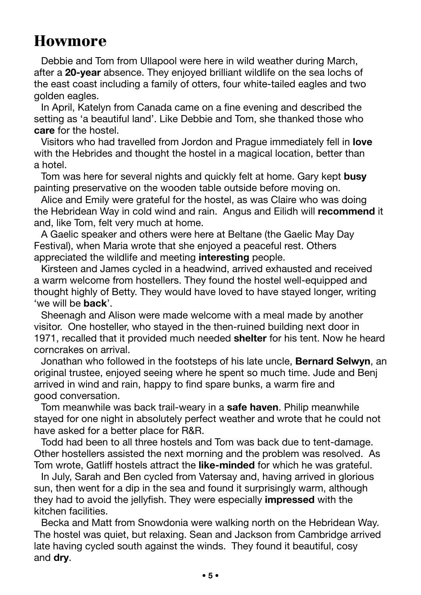# Howmore

Debbie and Tom from Ullapool were here in wild weather during March, after a **20-year** absence. They enjoyed brilliant wildlife on the sea lochs of the east coast including a family of otters, four white-tailed eagles and two golden eagles.

In April, Katelyn from Canada came on a fine evening and described the setting as 'a beautiful land'. Like Debbie and Tom, she thanked those who **care** for the hostel.

Visitors who had travelled from Jordon and Prague immediately fell in **love** with the Hebrides and thought the hostel in a magical location, better than a hotel.

Tom was here for several nights and quickly felt at home. Gary kept **busy** painting preservative on the wooden table outside before moving on.

Alice and Emily were grateful for the hostel, as was Claire who was doing the Hebridean Way in cold wind and rain. Angus and Eilidh will **recommend** it and, like Tom, felt very much at home.

A Gaelic speaker and others were here at Beltane (the Gaelic May Day Festival), when Maria wrote that she enjoyed a peaceful rest. Others appreciated the wildlife and meeting **interesting** people.

Kirsteen and James cycled in a headwind, arrived exhausted and received a warm welcome from hostellers. They found the hostel well-equipped and thought highly of Betty. They would have loved to have stayed longer, writing 'we will be **back**'.

Sheenagh and Alison were made welcome with a meal made by another visitor. One hosteller, who stayed in the then-ruined building next door in 1971, recalled that it provided much needed **shelter** for his tent. Now he heard corncrakes on arrival.

Jonathan who followed in the footsteps of his late uncle, **Bernard Selwyn**, an original trustee, enjoyed seeing where he spent so much time. Jude and Benj arrived in wind and rain, happy to find spare bunks, a warm fire and good conversation.

Tom meanwhile was back trail-weary in a **safe haven**. Philip meanwhile stayed for one night in absolutely perfect weather and wrote that he could not have asked for a better place for R&R.

Todd had been to all three hostels and Tom was back due to tent-damage. Other hostellers assisted the next morning and the problem was resolved. As Tom wrote, Gatliff hostels attract the **like-minded** for which he was grateful.

In July, Sarah and Ben cycled from Vatersay and, having arrived in glorious sun, then went for a dip in the sea and found it surprisingly warm, although they had to avoid the jellyfish. They were especially **impressed** with the kitchen facilities.

Becka and Matt from Snowdonia were walking north on the Hebridean Way. The hostel was quiet, but relaxing. Sean and Jackson from Cambridge arrived late having cycled south against the winds. They found it beautiful, cosy and **dry**.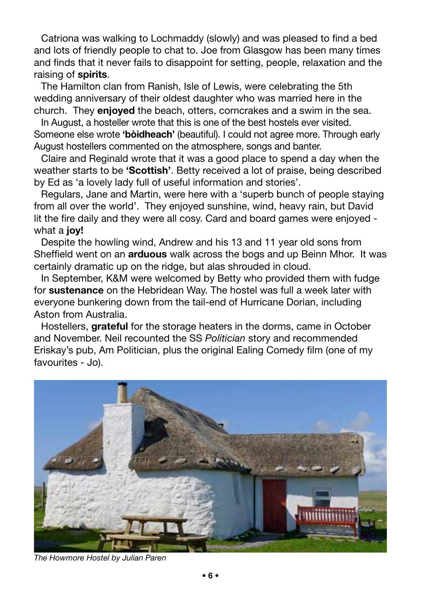Catriona was walking to Lochmaddy (slowly) and was pleased to find a bed and lots of friendly people to chat to. Joe from Glasgow has been many times and finds that it never fails to disappoint for setting, people, relaxation and the raising of **spirits**.

The Hamilton clan from Ranish, Isle of Lewis, were celebrating the 5th wedding anniversary of their oldest daughter who was married here in the church. They **enjoyed** the beach, otters, corncrakes and a swim in the sea.

In August, a hosteller wrote that this is one of the best hostels ever visited. Someone else wrote **'bòidheach'** (beautiful). I could not agree more. Through early August hostellers commented on the atmosphere, songs and banter.

Claire and Reginald wrote that it was a good place to spend a day when the weather starts to be **'Scottish'**. Betty received a lot of praise, being described by Ed as 'a lovely lady full of useful information and stories'.

Regulars, Jane and Martin, were here with a 'superb bunch of people staying from all over the world'. They enjoyed sunshine, wind, heavy rain, but David lit the fire daily and they were all cosy. Card and board games were enjoyed what a **joy!**

Despite the howling wind, Andrew and his 13 and 11 year old sons from Sheffield went on an **arduous** walk across the bogs and up Beinn Mhor. It was certainly dramatic up on the ridge, but alas shrouded in cloud.

In September, K&M were welcomed by Betty who provided them with fudge for **sustenance** on the Hebridean Way. The hostel was full a week later with everyone bunkering down from the tail-end of Hurricane Dorian, including Aston from Australia.

Hostellers, **grateful** for the storage heaters in the dorms, came in October and November. Neil recounted the SS *Politician* story and recommended Eriskay's pub, Am Politician, plus the original Ealing Comedy film (one of my favourites - Jo).



*The Howmore Hostel by Julian Paren*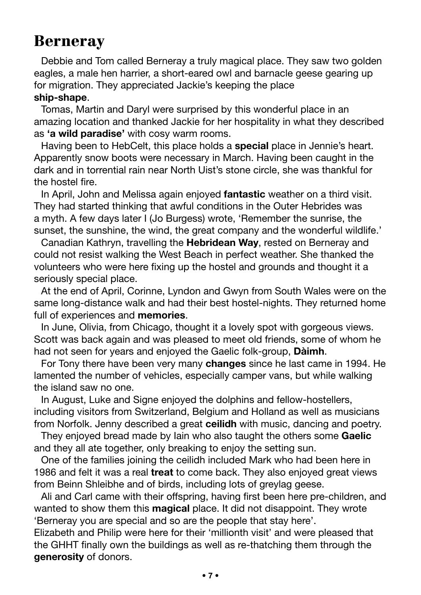# Berneray

Debbie and Tom called Berneray a truly magical place. They saw two golden eagles, a male hen harrier, a short-eared owl and barnacle geese gearing up for migration. They appreciated Jackie's keeping the place

#### **ship-shape**.

Tomas, Martin and Daryl were surprised by this wonderful place in an amazing location and thanked Jackie for her hospitality in what they described as **'a wild paradise'** with cosy warm rooms.

Having been to HebCelt, this place holds a **special** place in Jennie's heart. Apparently snow boots were necessary in March. Having been caught in the dark and in torrential rain near North Uist's stone circle, she was thankful for the hostel fire.

In April, John and Melissa again enjoyed **fantastic** weather on a third visit. They had started thinking that awful conditions in the Outer Hebrides was a myth. A few days later I (Jo Burgess) wrote, 'Remember the sunrise, the sunset, the sunshine, the wind, the great company and the wonderful wildlife.'

Canadian Kathryn, travelling the **Hebridean Way**, rested on Berneray and could not resist walking the West Beach in perfect weather. She thanked the volunteers who were here fixing up the hostel and grounds and thought it a seriously special place.

At the end of April, Corinne, Lyndon and Gwyn from South Wales were on the same long-distance walk and had their best hostel-nights. They returned home full of experiences and **memories**.

In June, Olivia, from Chicago, thought it a lovely spot with gorgeous views. Scott was back again and was pleased to meet old friends, some of whom he had not seen for years and enjoyed the Gaelic folk-group, **Dàimh**.

For Tony there have been very many **changes** since he last came in 1994. He lamented the number of vehicles, especially camper vans, but while walking the island saw no one.

In August, Luke and Signe enjoyed the dolphins and fellow-hostellers, including visitors from Switzerland, Belgium and Holland as well as musicians from Norfolk. Jenny described a great **ceilidh** with music, dancing and poetry.

They enjoyed bread made by Iain who also taught the others some **Gaelic** and they all ate together, only breaking to enjoy the setting sun.

One of the families joining the ceilidh included Mark who had been here in 1986 and felt it was a real **treat** to come back. They also enjoyed great views from Beinn Shleibhe and of birds, including lots of greylag geese.

Ali and Carl came with their offspring, having first been here pre-children, and wanted to show them this **magical** place. It did not disappoint. They wrote 'Berneray you are special and so are the people that stay here'.

Elizabeth and Philip were here for their 'millionth visit' and were pleased that the GHHT finally own the buildings as well as re-thatching them through the **generosity** of donors.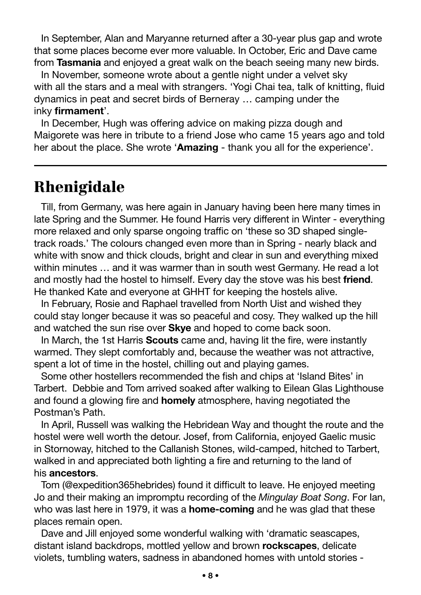In September, Alan and Maryanne returned after a 30-year plus gap and wrote that some places become ever more valuable. In October, Eric and Dave came from **Tasmania** and enjoyed a great walk on the beach seeing many new birds.

In November, someone wrote about a gentle night under a velvet sky with all the stars and a meal with strangers. 'Yogi Chai tea, talk of knitting, fluid dynamics in peat and secret birds of Berneray … camping under the inky **firmament**'.

In December, Hugh was offering advice on making pizza dough and Maigorete was here in tribute to a friend Jose who came 15 years ago and told her about the place. She wrote '**Amazing** - thank you all for the experience'.

### Rhenigidale

Till, from Germany, was here again in January having been here many times in late Spring and the Summer. He found Harris very different in Winter - everything more relaxed and only sparse ongoing traffic on 'these so 3D shaped singletrack roads.' The colours changed even more than in Spring - nearly black and white with snow and thick clouds, bright and clear in sun and everything mixed within minutes … and it was warmer than in south west Germany. He read a lot and mostly had the hostel to himself. Every day the stove was his best **friend**. He thanked Kate and everyone at GHHT for keeping the hostels alive.

In February, Rosie and Raphael travelled from North Uist and wished they could stay longer because it was so peaceful and cosy. They walked up the hill and watched the sun rise over **Skye** and hoped to come back soon.

In March, the 1st Harris **Scouts** came and, having lit the fire, were instantly warmed. They slept comfortably and, because the weather was not attractive, spent a lot of time in the hostel, chilling out and playing games.

Some other hostellers recommended the fish and chips at 'Island Bites' in Tarbert. Debbie and Tom arrived soaked after walking to Eilean Glas Lighthouse and found a glowing fire and **homely** atmosphere, having negotiated the Postman's Path.

In April, Russell was walking the Hebridean Way and thought the route and the hostel were well worth the detour. Josef, from California, enjoyed Gaelic music in Stornoway, hitched to the Callanish Stones, wild-camped, hitched to Tarbert, walked in and appreciated both lighting a fire and returning to the land of his **ancestors**.

Tom (@expedition365hebrides) found it difficult to leave. He enjoyed meeting Jo and their making an impromptu recording of the *Mingulay Boat Song*. For Ian, who was last here in 1979, it was a **home-coming** and he was glad that these places remain open.

Dave and Jill enjoyed some wonderful walking with 'dramatic seascapes, distant island backdrops, mottled yellow and brown **rockscapes**, delicate violets, tumbling waters, sadness in abandoned homes with untold stories -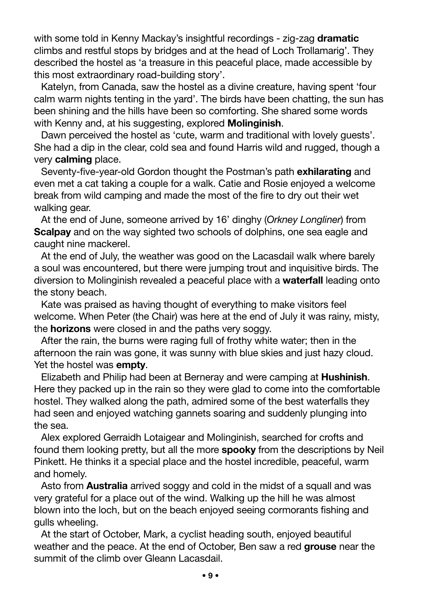with some told in Kenny Mackay's insightful recordings - zig-zag **dramatic** climbs and restful stops by bridges and at the head of Loch Trollamarig'. They described the hostel as 'a treasure in this peaceful place, made accessible by this most extraordinary road-building story'.

Katelyn, from Canada, saw the hostel as a divine creature, having spent 'four calm warm nights tenting in the yard'. The birds have been chatting, the sun has been shining and the hills have been so comforting. She shared some words with Kenny and, at his suggesting, explored **Molinginish**.

Dawn perceived the hostel as 'cute, warm and traditional with lovely guests'. She had a dip in the clear, cold sea and found Harris wild and rugged, though a very **calming** place.

Seventy-five-year-old Gordon thought the Postman's path **exhilarating** and even met a cat taking a couple for a walk. Catie and Rosie enjoyed a welcome break from wild camping and made the most of the fire to dry out their wet walking gear.

At the end of June, someone arrived by 16' dinghy (*Orkney Longliner*) from **Scalpay** and on the way sighted two schools of dolphins, one sea eagle and caught nine mackerel.

At the end of July, the weather was good on the Lacasdail walk where barely a soul was encountered, but there were jumping trout and inquisitive birds. The diversion to Molinginish revealed a peaceful place with a **waterfall** leading onto the stony beach.

Kate was praised as having thought of everything to make visitors feel welcome. When Peter (the Chair) was here at the end of July it was rainy, misty, the **horizons** were closed in and the paths very soggy.

After the rain, the burns were raging full of frothy white water; then in the afternoon the rain was gone, it was sunny with blue skies and just hazy cloud. Yet the hostel was **empty**.

Elizabeth and Philip had been at Berneray and were camping at **Hushinish**. Here they packed up in the rain so they were glad to come into the comfortable hostel. They walked along the path, admired some of the best waterfalls they had seen and enjoyed watching gannets soaring and suddenly plunging into the sea.

Alex explored Gerraidh Lotaigear and Molinginish, searched for crofts and found them looking pretty, but all the more **spooky** from the descriptions by Neil Pinkett. He thinks it a special place and the hostel incredible, peaceful, warm and homely.

Asto from **Australia** arrived soggy and cold in the midst of a squall and was very grateful for a place out of the wind. Walking up the hill he was almost blown into the loch, but on the beach enjoyed seeing cormorants fishing and gulls wheeling.

At the start of October, Mark, a cyclist heading south, enjoyed beautiful weather and the peace. At the end of October, Ben saw a red **grouse** near the summit of the climb over Gleann Lacasdail.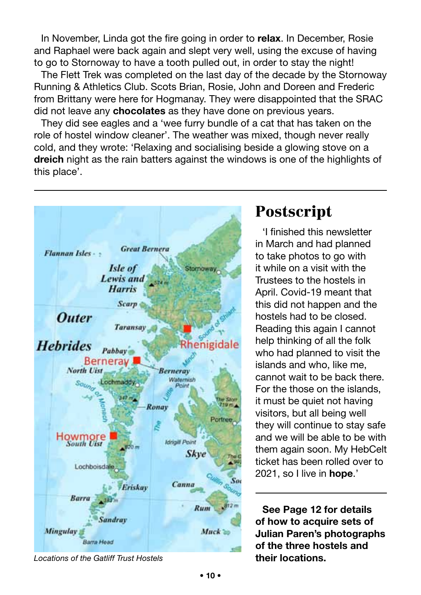In November, Linda got the fire going in order to **relax**. In December, Rosie and Raphael were back again and slept very well, using the excuse of having to go to Stornoway to have a tooth pulled out, in order to stay the night!

The Flett Trek was completed on the last day of the decade by the Stornoway Running & Athletics Club. Scots Brian, Rosie, John and Doreen and Frederic from Brittany were here for Hogmanay. They were disappointed that the SRAC did not leave any **chocolates** as they have done on previous years.

They did see eagles and a 'wee furry bundle of a cat that has taken on the role of hostel window cleaner'. The weather was mixed, though never really cold, and they wrote: 'Relaxing and socialising beside a glowing stove on a **dreich** night as the rain batters against the windows is one of the highlights of this place'.



# Postscript

'I finished this newsletter in March and had planned to take photos to go with it while on a visit with the Trustees to the hostels in April. Covid-19 meant that this did not happen and the hostels had to be closed. Reading this again I cannot help thinking of all the folk who had planned to visit the islands and who, like me, cannot wait to be back there. For the those on the islands, it must be quiet not having visitors, but all being well they will continue to stay safe and we will be able to be with them again soon. My HebCelt ticket has been rolled over to 2021, so I live in **hope**.'

**See Page 12 for details of how to acquire sets of Julian Paren's photographs of the three hostels and** 

*Locations of the Gatliff Trust Hostels* **their locations.**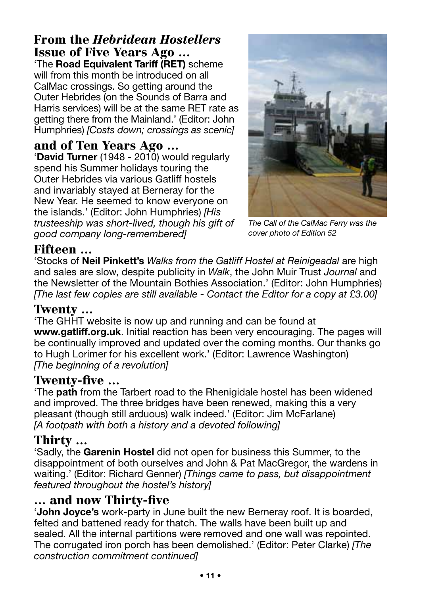#### From the *Hebridean Hostellers* Issue of Five Years Ago …

'The **Road Equivalent Tariff (RET)** scheme will from this month be introduced on all CalMac crossings. So getting around the Outer Hebrides (on the Sounds of Barra and Harris services) will be at the same RET rate as getting there from the Mainland.' (Editor: John Humphries) *[Costs down; crossings as scenic]*

#### and of Ten Years Ago …

'**David Turner** (1948 - 2010) would regularly spend his Summer holidays touring the Outer Hebrides via various Gatliff hostels and invariably stayed at Berneray for the New Year. He seemed to know everyone on the islands.' (Editor: John Humphries) *[His trusteeship was short-lived, though his gift of good company long-remembered]*



*The Call of the CalMac Ferry was the cover photo of Edition 52*

#### Fifteen …

'Stocks of **Neil Pinkett's** *Walks from the Gatliff Hostel at Reinigeadal* are high and sales are slow, despite publicity in *Walk*, the John Muir Trust *Journal* and the Newsletter of the Mountain Bothies Association.' (Editor: John Humphries) *[The last few copies are still available - Contact the Editor for a copy at £3.00]*

#### Twenty …

'The GHHT website is now up and running and can be found at **www.gatliff.org.uk**. Initial reaction has been very encouraging. The pages will be continually improved and updated over the coming months. Our thanks go to Hugh Lorimer for his excellent work.' (Editor: Lawrence Washington) *[The beginning of a revolution]*

#### Twenty-five …

'The **path** from the Tarbert road to the Rhenigidale hostel has been widened and improved. The three bridges have been renewed, making this a very pleasant (though still arduous) walk indeed.' (Editor: Jim McFarlane) *[A footpath with both a history and a devoted following]*

#### Thirty …

'Sadly, the **Garenin Hostel** did not open for business this Summer, to the disappointment of both ourselves and John & Pat MacGregor, the wardens in waiting.' (Editor: Richard Genner) *[Things came to pass, but disappointment featured throughout the hostel's history]*

#### … and now Thirty-five

'**John Joyce's** work-party in June built the new Berneray roof. It is boarded, felted and battened ready for thatch. The walls have been built up and sealed. All the internal partitions were removed and one wall was repointed. The corrugated iron porch has been demolished.' (Editor: Peter Clarke) *[The construction commitment continued]*